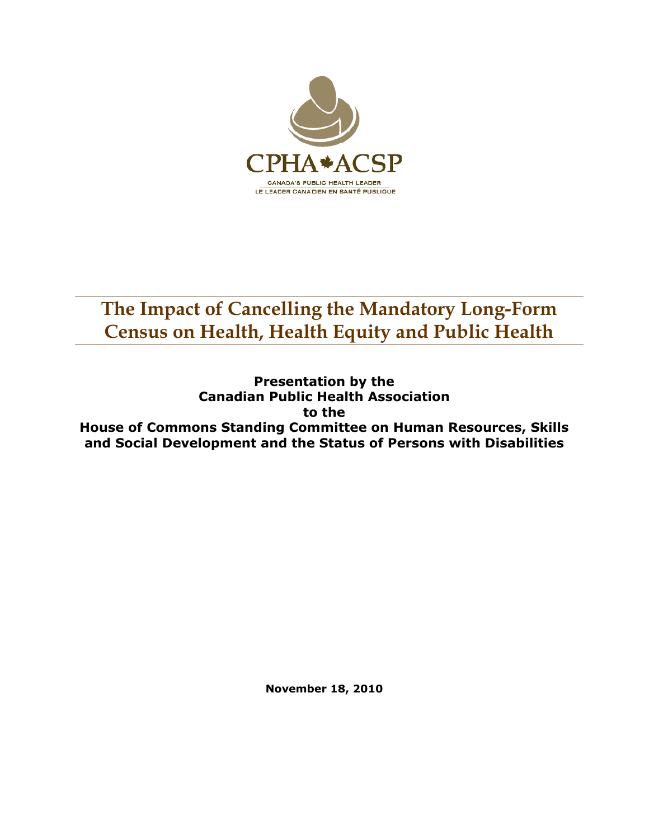

**Presentation by the Canadian Public Health Association to the House of Commons Standing Committee on Human Resources, Skills and Social Development and the Status of Persons with Disabilities** 

**November 18, 2010**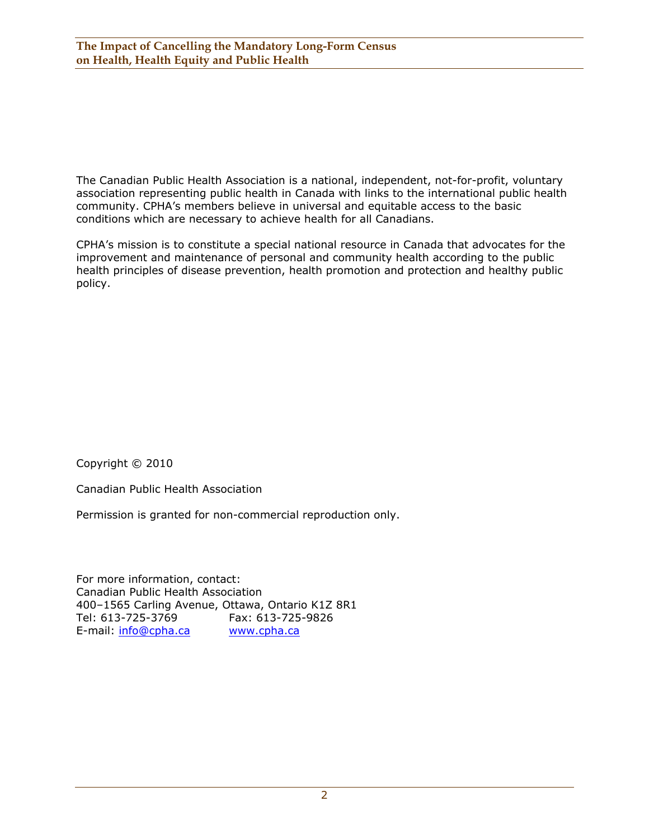The Canadian Public Health Association is a national, independent, not-for-profit, voluntary association representing public health in Canada with links to the international public health community. CPHA's members believe in universal and equitable access to the basic conditions which are necessary to achieve health for all Canadians.

CPHA's mission is to constitute a special national resource in Canada that advocates for the improvement and maintenance of personal and community health according to the public health principles of disease prevention, health promotion and protection and healthy public policy.

Copyright © 2010

Canadian Public Health Association

Permission is granted for non-commercial reproduction only.

For more information, contact: Canadian Public Health Association 400–1565 Carling Avenue, Ottawa, Ontario K1Z 8R1 Tel: 613-725-3769 Fax: 613-725-9826 E-mail: info@cpha.ca www.cpha.ca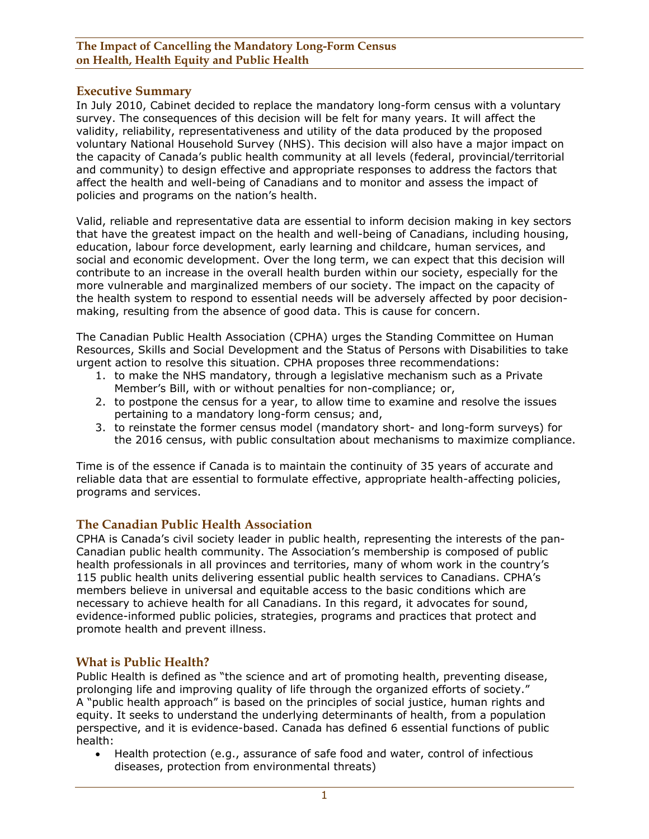### **Executive Summary**

In July 2010, Cabinet decided to replace the mandatory long-form census with a voluntary survey. The consequences of this decision will be felt for many years. It will affect the validity, reliability, representativeness and utility of the data produced by the proposed voluntary National Household Survey (NHS). This decision will also have a major impact on the capacity of Canada's public health community at all levels (federal, provincial/territorial and community) to design effective and appropriate responses to address the factors that affect the health and well-being of Canadians and to monitor and assess the impact of policies and programs on the nation's health.

Valid, reliable and representative data are essential to inform decision making in key sectors that have the greatest impact on the health and well-being of Canadians, including housing, education, labour force development, early learning and childcare, human services, and social and economic development. Over the long term, we can expect that this decision will contribute to an increase in the overall health burden within our society, especially for the more vulnerable and marginalized members of our society. The impact on the capacity of the health system to respond to essential needs will be adversely affected by poor decisionmaking, resulting from the absence of good data. This is cause for concern.

The Canadian Public Health Association (CPHA) urges the Standing Committee on Human Resources, Skills and Social Development and the Status of Persons with Disabilities to take urgent action to resolve this situation. CPHA proposes three recommendations:

- 1. to make the NHS mandatory, through a legislative mechanism such as a Private Member's Bill, with or without penalties for non-compliance; or,
- 2. to postpone the census for a year, to allow time to examine and resolve the issues pertaining to a mandatory long-form census; and,
- 3. to reinstate the former census model (mandatory short- and long-form surveys) for the 2016 census, with public consultation about mechanisms to maximize compliance.

Time is of the essence if Canada is to maintain the continuity of 35 years of accurate and reliable data that are essential to formulate effective, appropriate health-affecting policies, programs and services.

## **The Canadian Public Health Association**

CPHA is Canada's civil society leader in public health, representing the interests of the pan-Canadian public health community. The Association's membership is composed of public health professionals in all provinces and territories, many of whom work in the country's 115 public health units delivering essential public health services to Canadians. CPHA's members believe in universal and equitable access to the basic conditions which are necessary to achieve health for all Canadians. In this regard, it advocates for sound, evidence-informed public policies, strategies, programs and practices that protect and promote health and prevent illness.

#### **What is Public Health?**

Public Health is defined as "the science and art of promoting health, preventing disease, prolonging life and improving quality of life through the organized efforts of society." A "public health approach" is based on the principles of social justice, human rights and equity. It seeks to understand the underlying determinants of health, from a population perspective, and it is evidence-based. Canada has defined 6 essential functions of public health:

• Health protection (e.g., assurance of safe food and water, control of infectious diseases, protection from environmental threats)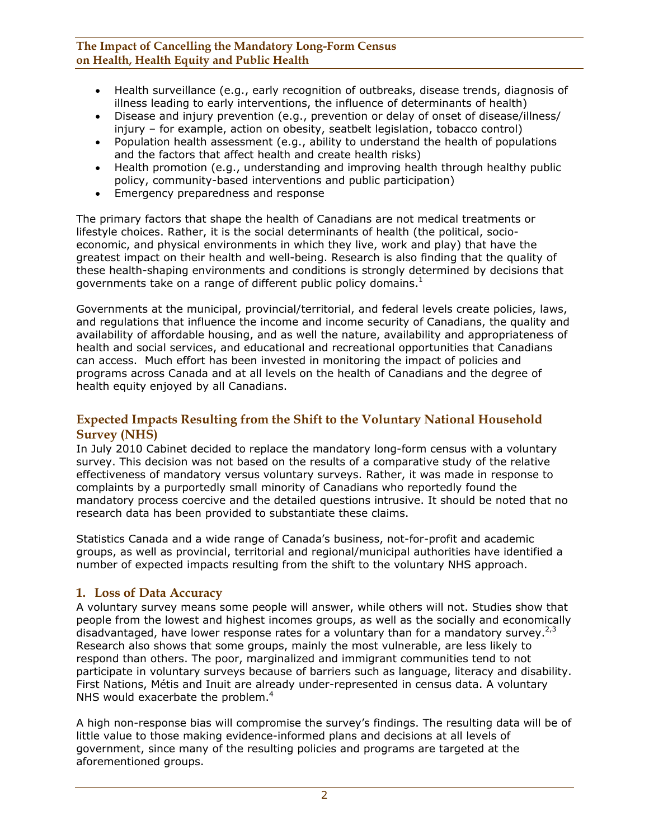- Health surveillance (e.g., early recognition of outbreaks, disease trends, diagnosis of illness leading to early interventions, the influence of determinants of health)
- Disease and injury prevention (e.g., prevention or delay of onset of disease/illness/ injury – for example, action on obesity, seatbelt legislation, tobacco control)
- Population health assessment (e.g., ability to understand the health of populations and the factors that affect health and create health risks)
- Health promotion (e.g., understanding and improving health through healthy public policy, community-based interventions and public participation)
- Emergency preparedness and response

The primary factors that shape the health of Canadians are not medical treatments or lifestyle choices. Rather, it is the social determinants of health (the political, socioeconomic, and physical environments in which they live, work and play) that have the greatest impact on their health and well-being. Research is also finding that the quality of these health-shaping environments and conditions is strongly determined by decisions that governments take on a range of different public policy domains.<sup>1</sup>

Governments at the municipal, provincial/territorial, and federal levels create policies, laws, and regulations that influence the income and income security of Canadians, the quality and availability of affordable housing, and as well the nature, availability and appropriateness of health and social services, and educational and recreational opportunities that Canadians can access. Much effort has been invested in monitoring the impact of policies and programs across Canada and at all levels on the health of Canadians and the degree of health equity enjoyed by all Canadians.

## **Expected Impacts Resulting from the Shift to the Voluntary National Household Survey (NHS)**

In July 2010 Cabinet decided to replace the mandatory long-form census with a voluntary survey. This decision was not based on the results of a comparative study of the relative effectiveness of mandatory versus voluntary surveys. Rather, it was made in response to complaints by a purportedly small minority of Canadians who reportedly found the mandatory process coercive and the detailed questions intrusive. It should be noted that no research data has been provided to substantiate these claims.

Statistics Canada and a wide range of Canada's business, not-for-profit and academic groups, as well as provincial, territorial and regional/municipal authorities have identified a number of expected impacts resulting from the shift to the voluntary NHS approach.

## **1. Loss of Data Accuracy**

A voluntary survey means some people will answer, while others will not. Studies show that people from the lowest and highest incomes groups, as well as the socially and economically disadvantaged, have lower response rates for a voluntary than for a mandatory survey.<sup>2,3</sup> Research also shows that some groups, mainly the most vulnerable, are less likely to respond than others. The poor, marginalized and immigrant communities tend to not participate in voluntary surveys because of barriers such as language, literacy and disability. First Nations, Métis and Inuit are already under-represented in census data. A voluntary NHS would exacerbate the problem.<sup>4</sup>

A high non-response bias will compromise the survey's findings. The resulting data will be of little value to those making evidence-informed plans and decisions at all levels of government, since many of the resulting policies and programs are targeted at the aforementioned groups.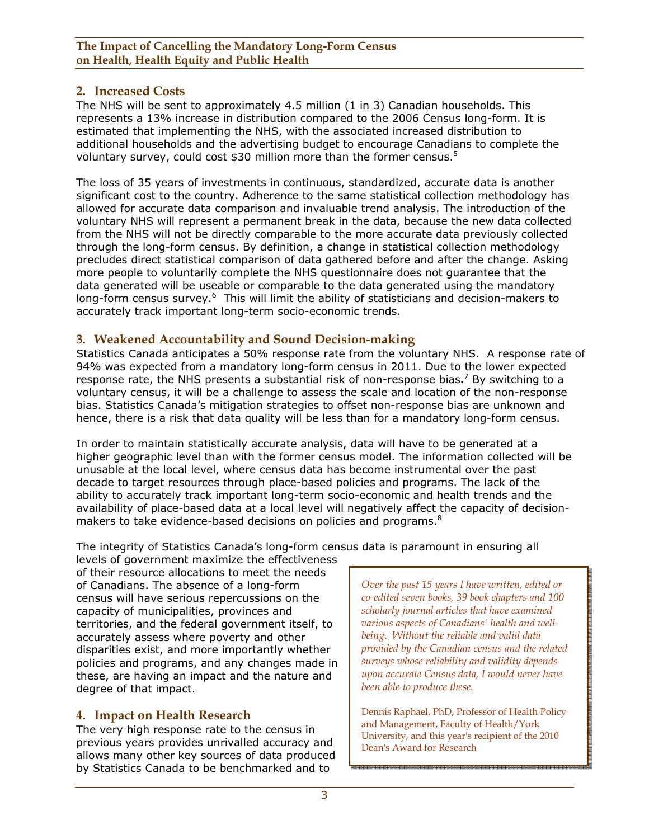## **2. Increased Costs**

The NHS will be sent to approximately 4.5 million (1 in 3) Canadian households. This represents a 13% increase in distribution compared to the 2006 Census long-form. It is estimated that implementing the NHS, with the associated increased distribution to additional households and the advertising budget to encourage Canadians to complete the voluntary survey, could cost \$30 million more than the former census.<sup>5</sup>

The loss of 35 years of investments in continuous, standardized, accurate data is another significant cost to the country. Adherence to the same statistical collection methodology has allowed for accurate data comparison and invaluable trend analysis. The introduction of the voluntary NHS will represent a permanent break in the data, because the new data collected from the NHS will not be directly comparable to the more accurate data previously collected through the long-form census. By definition, a change in statistical collection methodology precludes direct statistical comparison of data gathered before and after the change. Asking more people to voluntarily complete the NHS questionnaire does not guarantee that the data generated will be useable or comparable to the data generated using the mandatory long-form census survey.<sup>6</sup> This will limit the ability of statisticians and decision-makers to accurately track important long-term socio-economic trends.

### **3. Weakened Accountability and Sound Decision-making**

Statistics Canada anticipates a 50% response rate from the voluntary NHS. A response rate of 94% was expected from a mandatory long-form census in 2011. Due to the lower expected response rate, the NHS presents a substantial risk of non-response bias**.** 7 By switching to a voluntary census, it will be a challenge to assess the scale and location of the non-response bias. Statistics Canada's mitigation strategies to offset non-response bias are unknown and hence, there is a risk that data quality will be less than for a mandatory long-form census.

In order to maintain statistically accurate analysis, data will have to be generated at a higher geographic level than with the former census model. The information collected will be unusable at the local level, where census data has become instrumental over the past decade to target resources through place-based policies and programs. The lack of the ability to accurately track important long-term socio-economic and health trends and the availability of place-based data at a local level will negatively affect the capacity of decisionmakers to take evidence-based decisions on policies and programs.<sup>8</sup>

The integrity of Statistics Canada's long-form census data is paramount in ensuring all

levels of government maximize the effectiveness of their resource allocations to meet the needs of Canadians. The absence of a long-form census will have serious repercussions on the capacity of municipalities, provinces and territories, and the federal government itself, to accurately assess where poverty and other disparities exist, and more importantly whether policies and programs, and any changes made in these, are having an impact and the nature and degree of that impact.

## **4. Impact on Health Research**

The very high response rate to the census in previous years provides unrivalled accuracy and allows many other key sources of data produced by Statistics Canada to be benchmarked and to

*Over the past 15 years I have written, edited or co-edited seven books, 39 book chapters and 100 scholarly journal articles that have examined various aspects of Canadians' health and wellbeing. Without the reliable and valid data provided by the Canadian census and the related surveys whose reliability and validity depends upon accurate Census data, I would never have been able to produce these.* 

Dennis Raphael, PhD, Professor of Health Policy and Management, Faculty of Health/York University, and this year's recipient of the 2010 Dean's Award for Research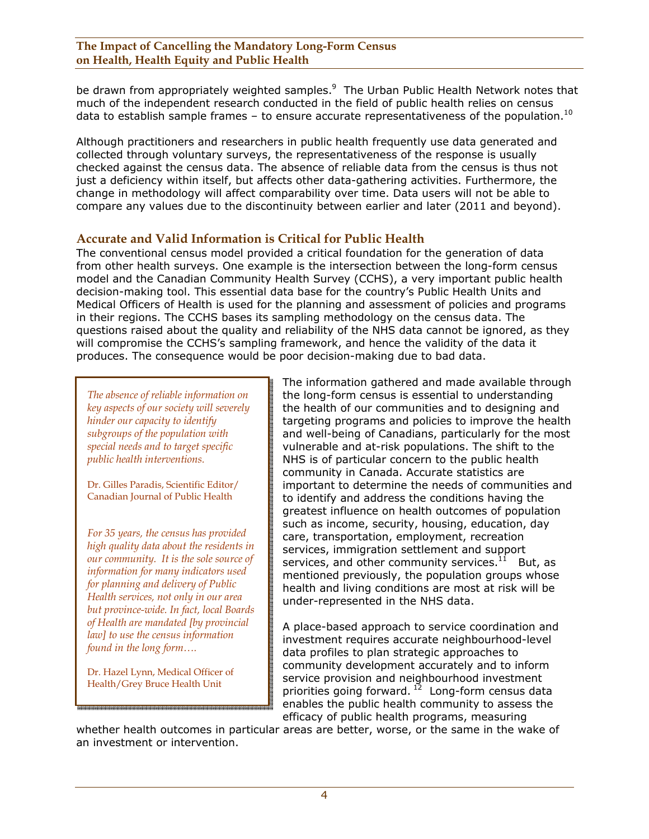be drawn from appropriately weighted samples.<sup>9</sup> The Urban Public Health Network notes that much of the independent research conducted in the field of public health relies on census data to establish sample frames – to ensure accurate representativeness of the population.<sup>10</sup>

Although practitioners and researchers in public health frequently use data generated and collected through voluntary surveys, the representativeness of the response is usually checked against the census data. The absence of reliable data from the census is thus not just a deficiency within itself, but affects other data-gathering activities. Furthermore, the change in methodology will affect comparability over time. Data users will not be able to compare any values due to the discontinuity between earlier and later (2011 and beyond).

## **Accurate and Valid Information is Critical for Public Health**

The conventional census model provided a critical foundation for the generation of data from other health surveys. One example is the intersection between the long-form census model and the Canadian Community Health Survey (CCHS), a very important public health decision-making tool. This essential data base for the country's Public Health Units and Medical Officers of Health is used for the planning and assessment of policies and programs in their regions. The CCHS bases its sampling methodology on the census data. The questions raised about the quality and reliability of the NHS data cannot be ignored, as they will compromise the CCHS's sampling framework, and hence the validity of the data it produces. The consequence would be poor decision-making due to bad data.

*The absence of reliable information on key aspects of our society will severely hinder our capacity to identify subgroups of the population with special needs and to target specific public health interventions.* 

Dr. Gilles Paradis, Scientific Editor/ Canadian Journal of Public Health

*For 35 years, the census has provided high quality data about the residents in our community. It is the sole source of information for many indicators used for planning and delivery of Public Health services, not only in our area but province-wide. In fact, local Boards of Health are mandated [by provincial law] to use the census information found in the long form….* 

Dr. Hazel Lynn, Medical Officer of Health/Grey Bruce Health Unit

The information gathered and made available through the long-form census is essential to understanding the health of our communities and to designing and targeting programs and policies to improve the health and well-being of Canadians, particularly for the most vulnerable and at-risk populations. The shift to the NHS is of particular concern to the public health community in Canada. Accurate statistics are important to determine the needs of communities and to identify and address the conditions having the greatest influence on health outcomes of population such as income, security, housing, education, day care, transportation, employment, recreation services, immigration settlement and support services, and other community services. $11$  But, as mentioned previously, the population groups whose health and living conditions are most at risk will be under-represented in the NHS data.

A place-based approach to service coordination and investment requires accurate neighbourhood-level data profiles to plan strategic approaches to community development accurately and to inform service provision and neighbourhood investment priorities going forward.<sup>12</sup> Long-form census data enables the public health community to assess the efficacy of public health programs, measuring

whether health outcomes in particular areas are better, worse, or the same in the wake of an investment or intervention.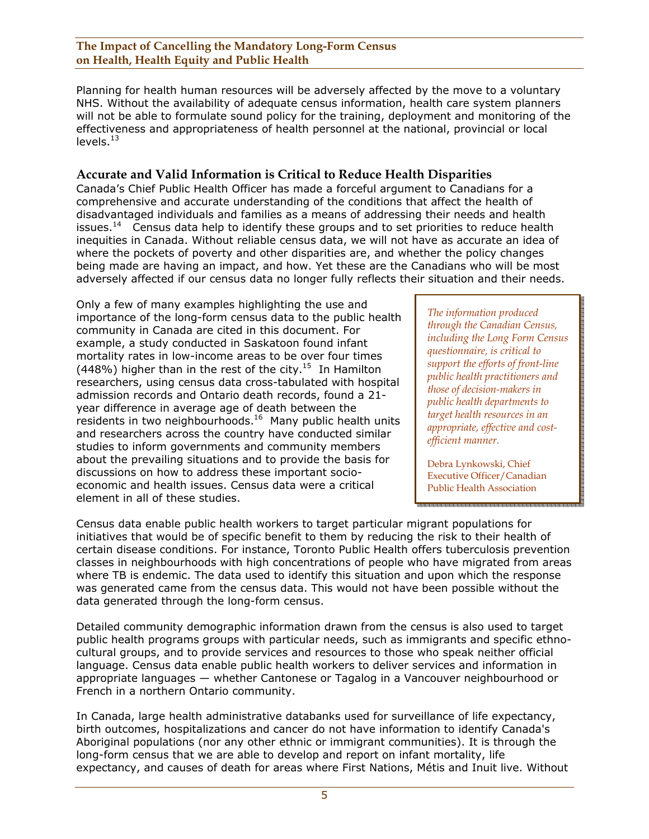Planning for health human resources will be adversely affected by the move to a voluntary NHS. Without the availability of adequate census information, health care system planners will not be able to formulate sound policy for the training, deployment and monitoring of the effectiveness and appropriateness of health personnel at the national, provincial or local  $levels.<sup>13</sup>$ 

## **Accurate and Valid Information is Critical to Reduce Health Disparities**

Canada's Chief Public Health Officer has made a forceful argument to Canadians for a comprehensive and accurate understanding of the conditions that affect the health of disadvantaged individuals and families as a means of addressing their needs and health issues.<sup>14</sup> Census data help to identify these groups and to set priorities to reduce health inequities in Canada. Without reliable census data, we will not have as accurate an idea of where the pockets of poverty and other disparities are, and whether the policy changes being made are having an impact, and how. Yet these are the Canadians who will be most adversely affected if our census data no longer fully reflects their situation and their needs.

Only a few of many examples highlighting the use and importance of the long-form census data to the public health community in Canada are cited in this document. For example, a study conducted in Saskatoon found infant mortality rates in low-income areas to be over four times (448%) higher than in the rest of the city.<sup>15</sup> In Hamilton researchers, using census data cross-tabulated with hospital admission records and Ontario death records, found a 21 year difference in average age of death between the  $r$ esidents in two neighbourhoods.<sup>16</sup> Many public health units and researchers across the country have conducted similar studies to inform governments and community members about the prevailing situations and to provide the basis for discussions on how to address these important socioeconomic and health issues. Census data were a critical element in all of these studies.

*The information produced through the Canadian Census, including the Long Form Census questionnaire, is critical to support the efforts of front-line public health practitioners and those of decision-makers in public health departments to target health resources in an appropriate, effective and costefficient manner.* 

Debra Lynkowski, Chief Executive Officer/Canadian Public Health Association

Census data enable public health workers to target particular migrant populations for initiatives that would be of specific benefit to them by reducing the risk to their health of certain disease conditions. For instance, Toronto Public Health offers tuberculosis prevention classes in neighbourhoods with high concentrations of people who have migrated from areas where TB is endemic. The data used to identify this situation and upon which the response was generated came from the census data. This would not have been possible without the data generated through the long-form census.

Detailed community demographic information drawn from the census is also used to target public health programs groups with particular needs, such as immigrants and specific ethnocultural groups, and to provide services and resources to those who speak neither official language. Census data enable public health workers to deliver services and information in appropriate languages — whether Cantonese or Tagalog in a Vancouver neighbourhood or French in a northern Ontario community.

In Canada, large health administrative databanks used for surveillance of life expectancy, birth outcomes, hospitalizations and cancer do not have information to identify Canada's Aboriginal populations (nor any other ethnic or immigrant communities). It is through the long-form census that we are able to develop and report on infant mortality, life expectancy, and causes of death for areas where First Nations, Métis and Inuit live. Without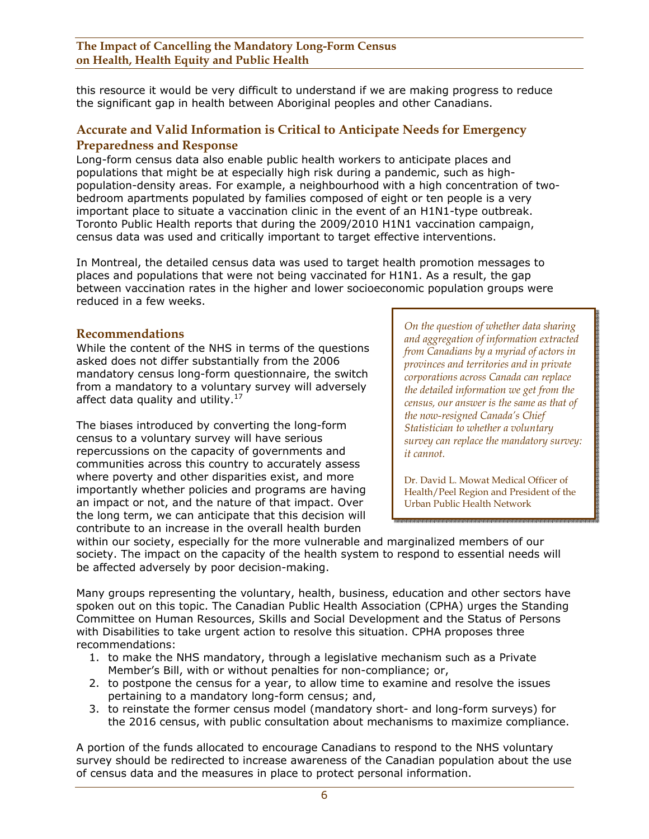this resource it would be very difficult to understand if we are making progress to reduce the significant gap in health between Aboriginal peoples and other Canadians.

## **Accurate and Valid Information is Critical to Anticipate Needs for Emergency Preparedness and Response**

Long-form census data also enable public health workers to anticipate places and populations that might be at especially high risk during a pandemic, such as highpopulation-density areas. For example, a neighbourhood with a high concentration of twobedroom apartments populated by families composed of eight or ten people is a very important place to situate a vaccination clinic in the event of an H1N1-type outbreak. Toronto Public Health reports that during the 2009/2010 H1N1 vaccination campaign, census data was used and critically important to target effective interventions.

In Montreal, the detailed census data was used to target health promotion messages to places and populations that were not being vaccinated for H1N1. As a result, the gap between vaccination rates in the higher and lower socioeconomic population groups were reduced in a few weeks.

### **Recommendations**

While the content of the NHS in terms of the questions asked does not differ substantially from the 2006 mandatory census long-form questionnaire, the switch from a mandatory to a voluntary survey will adversely affect data quality and utility.<sup>17</sup>

The biases introduced by converting the long-form census to a voluntary survey will have serious repercussions on the capacity of governments and communities across this country to accurately assess where poverty and other disparities exist, and more importantly whether policies and programs are having an impact or not, and the nature of that impact. Over the long term, we can anticipate that this decision will contribute to an increase in the overall health burden

*On the question of whether data sharing and aggregation of information extracted from Canadians by a myriad of actors in provinces and territories and in private corporations across Canada can replace the detailed information we get from the census, our answer is the same as that of the now-resigned Canada's Chief Statistician to whether a voluntary survey can replace the mandatory survey: it cannot.* 

Dr. David L. Mowat Medical Officer of Health/Peel Region and President of the Urban Public Health Network

within our society, especially for the more vulnerable and marginalized members of our society. The impact on the capacity of the health system to respond to essential needs will be affected adversely by poor decision-making.

Many groups representing the voluntary, health, business, education and other sectors have spoken out on this topic. The Canadian Public Health Association (CPHA) urges the Standing Committee on Human Resources, Skills and Social Development and the Status of Persons with Disabilities to take urgent action to resolve this situation. CPHA proposes three recommendations:

- 1. to make the NHS mandatory, through a legislative mechanism such as a Private Member's Bill, with or without penalties for non-compliance; or,
- 2. to postpone the census for a year, to allow time to examine and resolve the issues pertaining to a mandatory long-form census; and,
- 3. to reinstate the former census model (mandatory short- and long-form surveys) for the 2016 census, with public consultation about mechanisms to maximize compliance.

A portion of the funds allocated to encourage Canadians to respond to the NHS voluntary survey should be redirected to increase awareness of the Canadian population about the use of census data and the measures in place to protect personal information.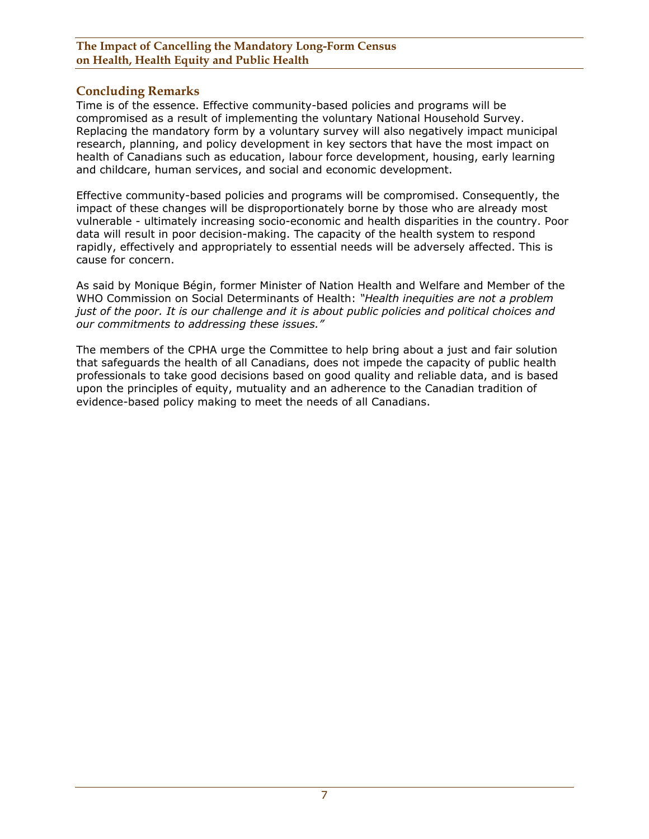## **Concluding Remarks**

Time is of the essence. Effective community-based policies and programs will be compromised as a result of implementing the voluntary National Household Survey. Replacing the mandatory form by a voluntary survey will also negatively impact municipal research, planning, and policy development in key sectors that have the most impact on health of Canadians such as education, labour force development, housing, early learning and childcare, human services, and social and economic development.

Effective community-based policies and programs will be compromised. Consequently, the impact of these changes will be disproportionately borne by those who are already most vulnerable - ultimately increasing socio-economic and health disparities in the country. Poor data will result in poor decision-making. The capacity of the health system to respond rapidly, effectively and appropriately to essential needs will be adversely affected. This is cause for concern.

As said by Monique Bégin, former Minister of Nation Health and Welfare and Member of the WHO Commission on Social Determinants of Health: *"Health inequities are not a problem just of the poor. It is our challenge and it is about public policies and political choices and our commitments to addressing these issues."* 

The members of the CPHA urge the Committee to help bring about a just and fair solution that safeguards the health of all Canadians, does not impede the capacity of public health professionals to take good decisions based on good quality and reliable data, and is based upon the principles of equity, mutuality and an adherence to the Canadian tradition of evidence-based policy making to meet the needs of all Canadians.